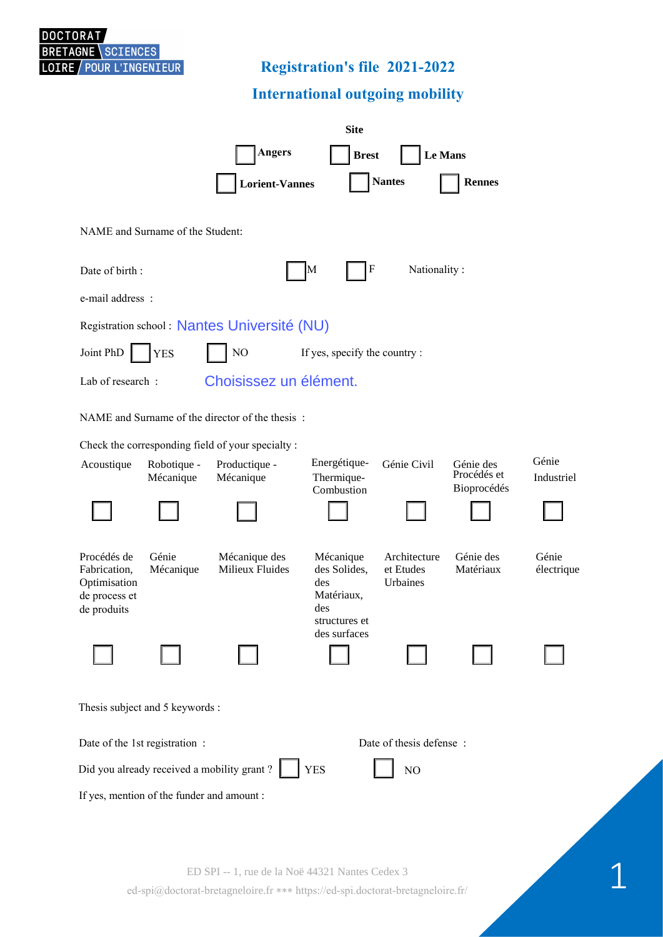

# **Registration's file 2021-2022**

## **International outgoing mobility**

|                                                                |                          | <b>Site</b>                                       |                           |                           |                                         |                     |  |  |
|----------------------------------------------------------------|--------------------------|---------------------------------------------------|---------------------------|---------------------------|-----------------------------------------|---------------------|--|--|
|                                                                |                          | <b>Angers</b>                                     | <b>Brest</b>              | Le Mans                   |                                         |                     |  |  |
|                                                                |                          | <b>Lorient-Vannes</b>                             |                           | <b>Nantes</b>             | <b>Rennes</b>                           |                     |  |  |
| NAME and Surname of the Student:                               |                          |                                                   |                           |                           |                                         |                     |  |  |
| Date of birth:                                                 |                          |                                                   | F<br>M                    | Nationality:              |                                         |                     |  |  |
| e-mail address:                                                |                          |                                                   |                           |                           |                                         |                     |  |  |
| Registration school: Nantes Université (NU)                    |                          |                                                   |                           |                           |                                         |                     |  |  |
| Joint PhD<br>NO<br>If yes, specify the country :<br><b>YES</b> |                          |                                                   |                           |                           |                                         |                     |  |  |
| Choisissez un élément.<br>Lab of research:                     |                          |                                                   |                           |                           |                                         |                     |  |  |
| NAME and Surname of the director of the thesis:                |                          |                                                   |                           |                           |                                         |                     |  |  |
|                                                                |                          | Check the corresponding field of your specialty : | Energétique-              |                           |                                         | Génie               |  |  |
| Acoustique                                                     | Robotique -<br>Mécanique | Productique -<br>Mécanique                        | Thermique-<br>Combustion  | Génie Civil               | Génie des<br>Procédés et<br>Bioprocédés | Industriel          |  |  |
|                                                                |                          |                                                   |                           |                           |                                         |                     |  |  |
|                                                                |                          |                                                   |                           |                           |                                         |                     |  |  |
| Procédés de<br>Fabrication,                                    | Génie<br>Mécanique       | Mécanique des<br>Milieux Fluides                  | Mécanique<br>des Solides, | Architecture<br>et Etudes | Génie des<br>Matériaux                  | Génie<br>électrique |  |  |
| Optimisation<br>de process et                                  |                          |                                                   | des<br>Matériaux,         | Urbaines                  |                                         |                     |  |  |
| de produits                                                    |                          |                                                   | des<br>structures et      |                           |                                         |                     |  |  |
|                                                                |                          |                                                   | des surfaces              |                           |                                         |                     |  |  |
|                                                                |                          |                                                   |                           |                           |                                         |                     |  |  |
| Thesis subject and 5 keywords :                                |                          |                                                   |                           |                           |                                         |                     |  |  |
| Date of thesis defense :<br>Date of the 1st registration :     |                          |                                                   |                           |                           |                                         |                     |  |  |
| Did you already received a mobility grant?<br><b>YES</b><br>NO |                          |                                                   |                           |                           |                                         |                     |  |  |
| If yes, mention of the funder and amount :                     |                          |                                                   |                           |                           |                                         |                     |  |  |
|                                                                |                          |                                                   |                           |                           |                                         |                     |  |  |